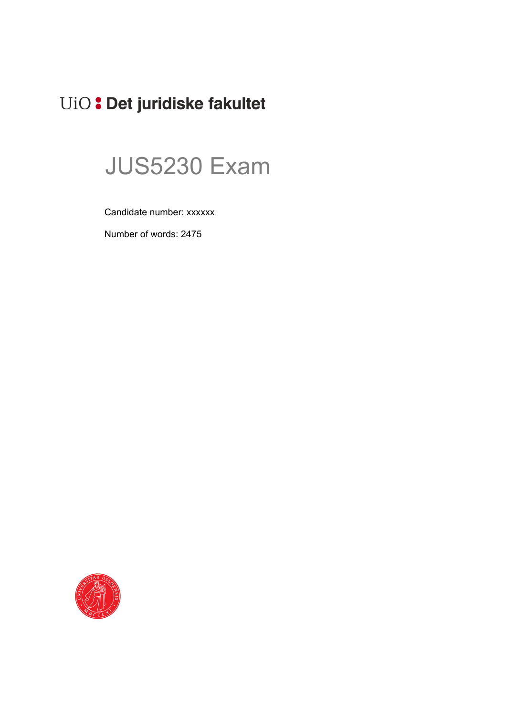# UiO: Det juridiske fakultet

# JUS5230 Exam

Candidate number: xxxxxx

Number of words: 2475

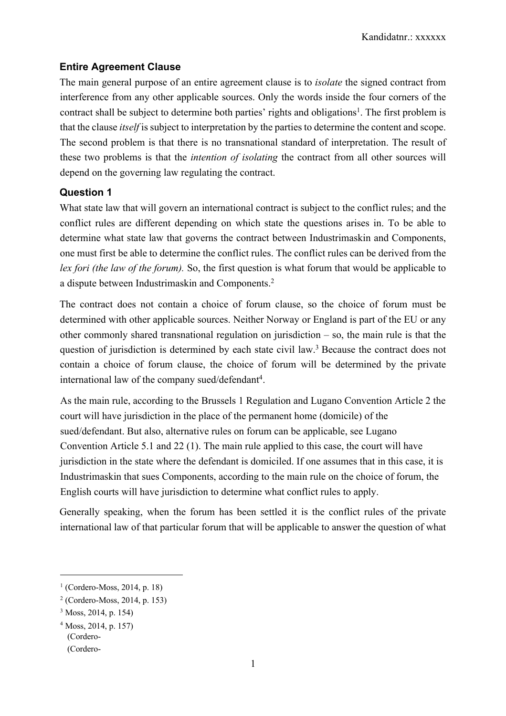#### **Entire Agreement Clause**

The main general purpose of an entire agreement clause is to *isolate* the signed contract from interference from any other applicable sources. Only the words inside the four corners of the contract shall be subject to determine both parties' rights and obligations<sup>1</sup>. The first problem is that the clause *itself* is subject to interpretation by the parties to determine the content and scope. The second problem is that there is no transnational standard of interpretation. The result of these two problems is that the *intention of isolating* the contract from all other sources will depend on the governing law regulating the contract.

#### **Question 1**

What state law that will govern an international contract is subject to the conflict rules; and the conflict rules are different depending on which state the questions arises in. To be able to determine what state law that governs the contract between Industrimaskin and Components, one must first be able to determine the conflict rules. The conflict rules can be derived from the *lex fori (the law of the forum).* So, the first question is what forum that would be applicable to a dispute between Industrimaskin and Components.2

The contract does not contain a choice of forum clause, so the choice of forum must be determined with other applicable sources. Neither Norway or England is part of the EU or any other commonly shared transnational regulation on jurisdiction – so, the main rule is that the question of jurisdiction is determined by each state civil law.<sup>3</sup> Because the contract does not contain a choice of forum clause, the choice of forum will be determined by the private international law of the company sued/defendant<sup>4</sup>.

As the main rule, according to the Brussels 1 Regulation and Lugano Convention Article 2 the court will have jurisdiction in the place of the permanent home (domicile) of the sued/defendant. But also, alternative rules on forum can be applicable, see Lugano Convention Article 5.1 and 22 (1). The main rule applied to this case, the court will have jurisdiction in the state where the defendant is domiciled. If one assumes that in this case, it is Industrimaskin that sues Components, according to the main rule on the choice of forum, the English courts will have jurisdiction to determine what conflict rules to apply.

Generally speaking, when the forum has been settled it is the conflict rules of the private international law of that particular forum that will be applicable to answer the question of what

 $1$  (Cordero-Moss, 2014, p. 18)

<sup>2</sup> (Cordero-Moss, 2014, p. 153)

<sup>3</sup> Moss, 2014, p. 154)

<sup>(</sup>Cordero- (Cordero-<sup>4</sup> Moss, 2014, p. 157)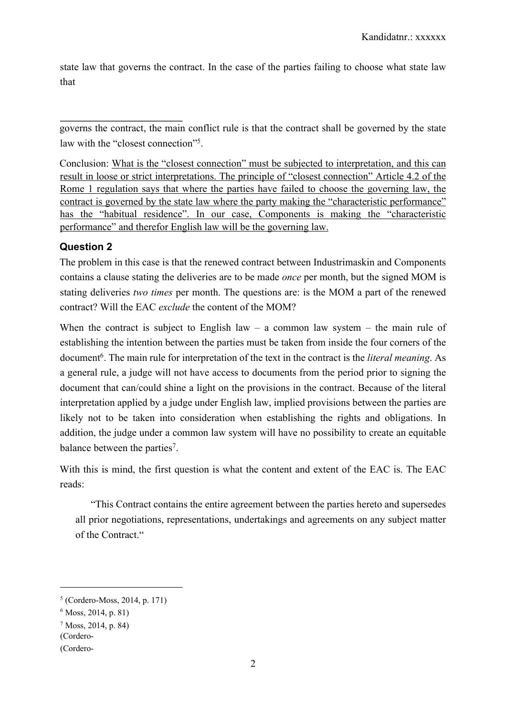state law that governs the contract. In the case of the parties failing to choose what state law that

governs the contract, the main conflict rule is that the contract shall be governed by the state law with the "closest connection"<sup>5</sup>.

Conclusion: What is the "closest connection" must be subjected to interpretation, and this can result in loose or strict interpretations. The principle of "closest connection" Article 4.2 of the Rome 1 regulation says that where the parties have failed to choose the governing law, the contract is governed by the state law where the party making the "characteristic performance" has the "habitual residence". In our case, Components is making the "characteristic performance" and therefor English law will be the governing law.

#### **Question 2**

The problem in this case is that the renewed contract between Industrimaskin and Components contains a clause stating the deliveries are to be made *once* per month, but the signed MOM is stating deliveries *two times* per month. The questions are: is the MOM a part of the renewed contract? Will the EAC *exclude* the content of the MOM?

When the contract is subject to English law – a common law system – the main rule of establishing the intention between the parties must be taken from inside the four corners of the document6. The main rule for interpretation of the text in the contract is the *literal meaning*. As a general rule, a judge will not have access to documents from the period prior to signing the document that can/could shine a light on the provisions in the contract. Because of the literal interpretation applied by a judge under English law, implied provisions between the parties are likely not to be taken into consideration when establishing the rights and obligations. In addition, the judge under a common law system will have no possibility to create an equitable balance between the parties<sup>7</sup>.

With this is mind, the first question is what the content and extent of the EAC is. The EAC reads:

"This Contract contains the entire agreement between the parties hereto and supersedes all prior negotiations, representations, undertakings and agreements on any subject matter of the Contract."

 $5$  (Cordero-Moss, 2014, p. 171)

 $6$  Moss, 2014, p. 81)

<sup>7</sup> Moss, 2014, p. 84)

<sup>(</sup>Cordero-

<sup>(</sup>Cordero-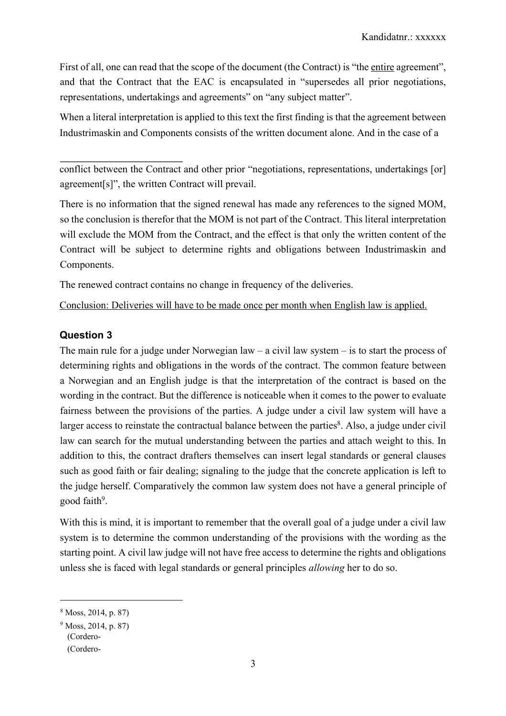First of all, one can read that the scope of the document (the Contract) is "the entire agreement", and that the Contract that the EAC is encapsulated in "supersedes all prior negotiations, representations, undertakings and agreements" on "any subject matter".

When a literal interpretation is applied to this text the first finding is that the agreement between Industrimaskin and Components consists of the written document alone. And in the case of a

conflict between the Contract and other prior "negotiations, representations, undertakings [or] agreement[s]", the written Contract will prevail.

There is no information that the signed renewal has made any references to the signed MOM, so the conclusion is therefor that the MOM is not part of the Contract. This literal interpretation will exclude the MOM from the Contract, and the effect is that only the written content of the Contract will be subject to determine rights and obligations between Industrimaskin and Components.

The renewed contract contains no change in frequency of the deliveries.

Conclusion: Deliveries will have to be made once per month when English law is applied.

# **Question 3**

The main rule for a judge under Norwegian law – a civil law system – is to start the process of determining rights and obligations in the words of the contract. The common feature between a Norwegian and an English judge is that the interpretation of the contract is based on the wording in the contract. But the difference is noticeable when it comes to the power to evaluate fairness between the provisions of the parties. A judge under a civil law system will have a larger access to reinstate the contractual balance between the parties<sup>8</sup>. Also, a judge under civil law can search for the mutual understanding between the parties and attach weight to this. In addition to this, the contract drafters themselves can insert legal standards or general clauses such as good faith or fair dealing; signaling to the judge that the concrete application is left to the judge herself. Comparatively the common law system does not have a general principle of good faith<sup>9</sup>.

With this is mind, it is important to remember that the overall goal of a judge under a civil law system is to determine the common understanding of the provisions with the wording as the starting point. A civil law judge will not have free access to determine the rights and obligations unless she is faced with legal standards or general principles *allowing* her to do so.

<sup>8</sup> Moss, 2014, p. 87)

<sup>(</sup>Cordero- (Cordero-<sup>9</sup> Moss, 2014, p. 87)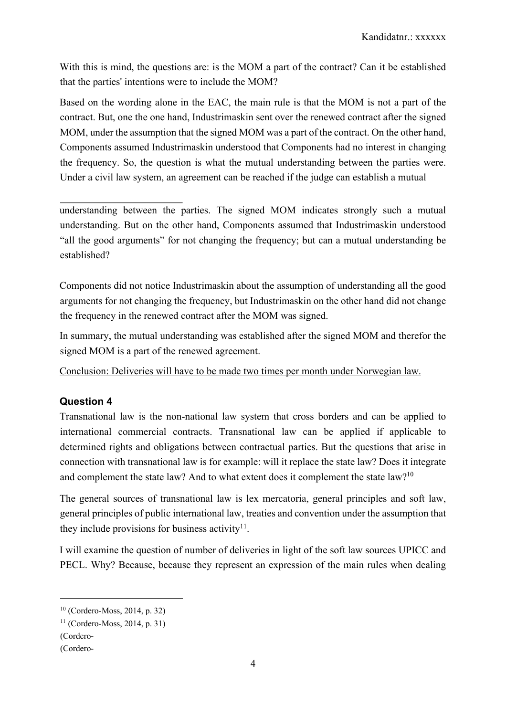With this is mind, the questions are: is the MOM a part of the contract? Can it be established that the parties' intentions were to include the MOM?

Based on the wording alone in the EAC, the main rule is that the MOM is not a part of the contract. But, one the one hand, Industrimaskin sent over the renewed contract after the signed MOM, under the assumption that the signed MOM was a part of the contract. On the other hand, Components assumed Industrimaskin understood that Components had no interest in changing the frequency. So, the question is what the mutual understanding between the parties were. Under a civil law system, an agreement can be reached if the judge can establish a mutual

understanding between the parties. The signed MOM indicates strongly such a mutual understanding. But on the other hand, Components assumed that Industrimaskin understood "all the good arguments" for not changing the frequency; but can a mutual understanding be established?

Components did not notice Industrimaskin about the assumption of understanding all the good arguments for not changing the frequency, but Industrimaskin on the other hand did not change the frequency in the renewed contract after the MOM was signed.

In summary, the mutual understanding was established after the signed MOM and therefor the signed MOM is a part of the renewed agreement.

Conclusion: Deliveries will have to be made two times per month under Norwegian law.

# **Question 4**

Transnational law is the non-national law system that cross borders and can be applied to international commercial contracts. Transnational law can be applied if applicable to determined rights and obligations between contractual parties. But the questions that arise in connection with transnational law is for example: will it replace the state law? Does it integrate and complement the state law? And to what extent does it complement the state law?<sup>10</sup>

The general sources of transnational law is lex mercatoria, general principles and soft law, general principles of public international law, treaties and convention under the assumption that they include provisions for business activity $11$ .

I will examine the question of number of deliveries in light of the soft law sources UPICC and PECL. Why? Because, because they represent an expression of the main rules when dealing

<sup>10</sup> (Cordero-Moss, 2014, p. 32)

 $11$  (Cordero-Moss, 2014, p. 31)

<sup>(</sup>Cordero-

<sup>(</sup>Cordero-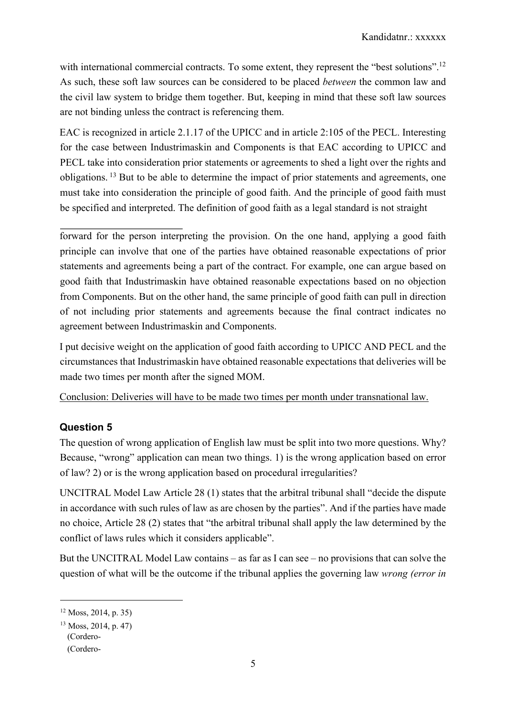with international commercial contracts. To some extent, they represent the "best solutions".<sup>12</sup> As such, these soft law sources can be considered to be placed *between* the common law and the civil law system to bridge them together. But, keeping in mind that these soft law sources are not binding unless the contract is referencing them.

EAC is recognized in article 2.1.17 of the UPICC and in article 2:105 of the PECL. Interesting for the case between Industrimaskin and Components is that EAC according to UPICC and PECL take into consideration prior statements or agreements to shed a light over the rights and obligations. <sup>13</sup> But to be able to determine the impact of prior statements and agreements, one must take into consideration the principle of good faith. And the principle of good faith must be specified and interpreted. The definition of good faith as a legal standard is not straight

forward for the person interpreting the provision. On the one hand, applying a good faith principle can involve that one of the parties have obtained reasonable expectations of prior statements and agreements being a part of the contract. For example, one can argue based on good faith that Industrimaskin have obtained reasonable expectations based on no objection from Components. But on the other hand, the same principle of good faith can pull in direction of not including prior statements and agreements because the final contract indicates no agreement between Industrimaskin and Components.

I put decisive weight on the application of good faith according to UPICC AND PECL and the circumstances that Industrimaskin have obtained reasonable expectations that deliveries will be made two times per month after the signed MOM.

Conclusion: Deliveries will have to be made two times per month under transnational law.

# **Question 5**

The question of wrong application of English law must be split into two more questions. Why? Because, "wrong" application can mean two things. 1) is the wrong application based on error of law? 2) or is the wrong application based on procedural irregularities?

UNCITRAL Model Law Article 28 (1) states that the arbitral tribunal shall "decide the dispute in accordance with such rules of law as are chosen by the parties". And if the parties have made no choice, Article 28 (2) states that "the arbitral tribunal shall apply the law determined by the conflict of laws rules which it considers applicable".

But the UNCITRAL Model Law contains – as far as I can see – no provisions that can solve the question of what will be the outcome if the tribunal applies the governing law *wrong (error in* 

 $12$  Moss, 2014, p. 35)

<sup>(</sup>Cordero- <sup>13</sup> Moss, 2014, p. 47)

<sup>(</sup>Cordero-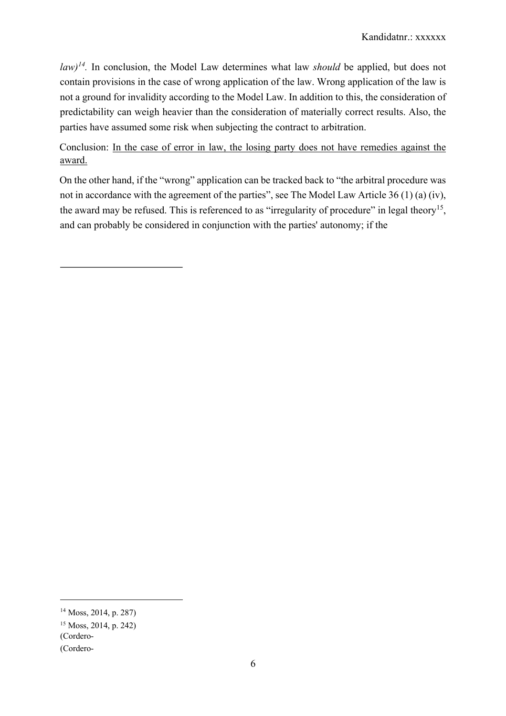*law)14.* In conclusion, the Model Law determines what law *should* be applied, but does not contain provisions in the case of wrong application of the law. Wrong application of the law is not a ground for invalidity according to the Model Law. In addition to this, the consideration of predictability can weigh heavier than the consideration of materially correct results. Also, the parties have assumed some risk when subjecting the contract to arbitration.

Conclusion: In the case of error in law, the losing party does not have remedies against the award.

On the other hand, if the "wrong" application can be tracked back to "the arbitral procedure was not in accordance with the agreement of the parties", see The Model Law Article 36 (1) (a) (iv), the award may be refused. This is referenced to as "irregularity of procedure" in legal theory<sup>15</sup>, and can probably be considered in conjunction with the parties' autonomy; if the

<sup>14</sup> Moss, 2014, p. 287)

<sup>15</sup> Moss, 2014, p. 242)

<sup>(</sup>Cordero-

<sup>(</sup>Cordero-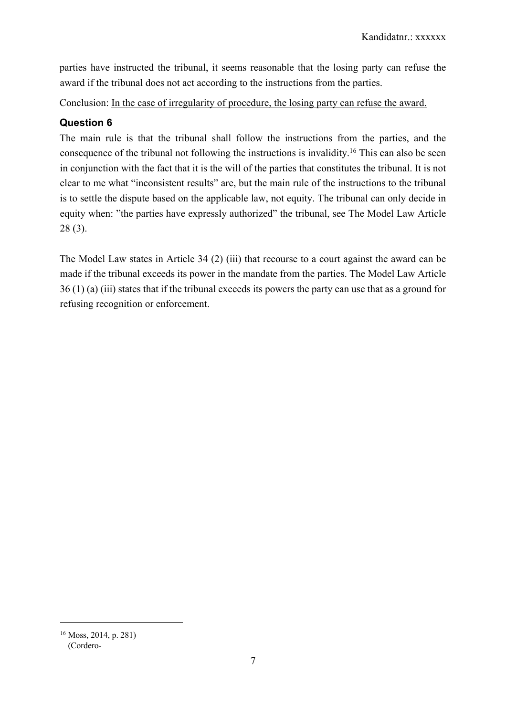parties have instructed the tribunal, it seems reasonable that the losing party can refuse the award if the tribunal does not act according to the instructions from the parties.

Conclusion: In the case of irregularity of procedure, the losing party can refuse the award.

# **Question 6**

The main rule is that the tribunal shall follow the instructions from the parties, and the consequence of the tribunal not following the instructions is invalidity.16 This can also be seen in conjunction with the fact that it is the will of the parties that constitutes the tribunal. It is not clear to me what "inconsistent results" are, but the main rule of the instructions to the tribunal is to settle the dispute based on the applicable law, not equity. The tribunal can only decide in equity when: "the parties have expressly authorized" the tribunal, see The Model Law Article 28 (3).

The Model Law states in Article 34 (2) (iii) that recourse to a court against the award can be made if the tribunal exceeds its power in the mandate from the parties. The Model Law Article 36 (1) (a) (iii) states that if the tribunal exceeds its powers the party can use that as a ground for refusing recognition or enforcement.

<sup>(</sup>Cordero-<sup>16</sup> Moss, 2014, p. 281)